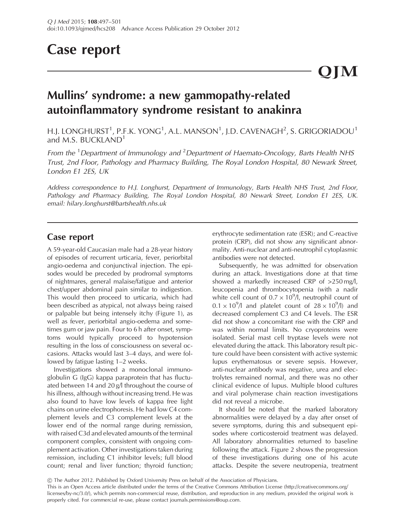# Case report

# Mullins' syndrome: a new gammopathy-related autoinflammatory syndrome resistant to anakinra

H.J. LONGHURST $^1$ , P.F.K. YONG $^1$ , A.L. MANSON $^1$ , J.D. CAVENAGH $^2$ , S. GRIGORIADOU $^1$ and M.S. BUCKLAND<sup>1</sup>

From the <sup>1</sup> Department of Immunology and <sup>2</sup> Department of Haemato-Oncology, Barts Health NHS Trust, 2nd Floor, Pathology and Pharmacy Building, The Royal London Hospital, 80 Newark Street, London E1 2ES, UK

Address correspondence to H.J. Longhurst, Department of Immunology, Barts Health NHS Trust, 2nd Floor, Pathology and Pharmacy Building, The Royal London Hospital, 80 Newark Street, London E1 2ES, UK. email: hilary.longhurst@bartshealth.nhs.uk

### Case report

A 59-year-old Caucasian male had a 28-year history of episodes of recurrent urticaria, fever, periorbital angio-oedema and conjunctival injection. The episodes would be preceded by prodromal symptoms of nightmares, general malaise/fatigue and anterior chest/upper abdominal pain similar to indigestion. This would then proceed to urticaria, which had been described as atypical, not always being raised or palpable but being intensely itchy [\(Figure 1\)](#page-1-0), as well as fever, periorbital angio-oedema and sometimes gum or jaw pain. Four to 6 h after onset, symptoms would typically proceed to hypotension resulting in the loss of consciousness on several occasions. Attacks would last 3–4 days, and were followed by fatigue lasting 1–2 weeks.

Investigations showed a monoclonal immunoglobulin G (IgG) kappa paraprotein that has fluctuated between 14 and 20 g/l throughout the course of his illness, although without increasing trend. He was also found to have low levels of kappa free light chains on urine electrophoresis. He had low C4 complement levels and C3 complement levels at the lower end of the normal range during remission, with raised C3d and elevated amounts of the terminal component complex, consistent with ongoing complement activation. Other investigations taken during remission, including C1 inhibitor levels; full blood count; renal and liver function; thyroid function;

erythrocyte sedimentation rate (ESR); and C-reactive protein (CRP), did not show any significant abnormality. Anti-nuclear and anti-neutrophil cytoplasmic antibodies were not detected.

Subsequently, he was admitted for observation during an attack. Investigations done at that time showed a markedly increased CRP of >250 mg/l, leucopenia and thrombocytopenia (with a nadir white cell count of  $0.7 \times 10^9$ /l, neutrophil count of  $0.1 \times 10^9$ /l and platelet count of  $28 \times 10^9$ /l) and decreased complement C3 and C4 levels. The ESR did not show a concomitant rise with the CRP and was within normal limits. No cryoproteins were isolated. Serial mast cell tryptase levels were not elevated during the attack. This laboratory result picture could have been consistent with active systemic lupus erythematosus or severe sepsis. However, anti-nuclear antibody was negative, urea and electrolytes remained normal, and there was no other clinical evidence of lupus. Multiple blood cultures and viral polymerase chain reaction investigations did not reveal a microbe.

It should be noted that the marked laboratory abnormalities were delayed by a day after onset of severe symptoms, during this and subsequent episodes where corticosteroid treatment was delayed. All laboratory abnormalities returned to baseline following the attack. [Figure 2](#page-2-0) shows the progression of these investigations during one of his acute attacks. Despite the severe neutropenia, treatment

! The Author 2012. Published by Oxford University Press on behalf of the Association of Physicians.

This is an Open Access article distributed under the terms of the Creative Commons Attribution License (http://creativecommons.org/ licenses/by-nc/3.0/), which permits non-commercial reuse, distribution, and reproduction in any medium, provided the original work is properly cited. For commercial re-use, please contact journals.permissions@oup.com.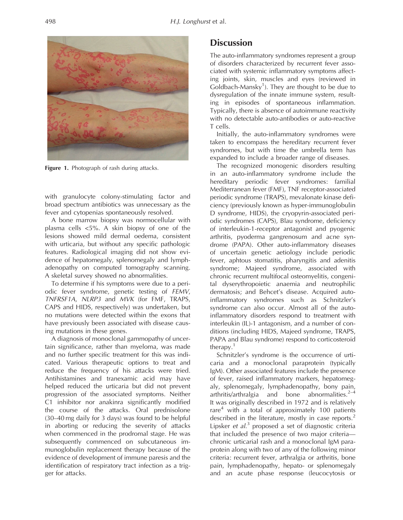<span id="page-1-0"></span>

Figure 1. Photograph of rash during attacks.

with granulocyte colony-stimulating factor and broad spectrum antibiotics was unnecessary as the fever and cytopenias spontaneously resolved.

A bone marrow biopsy was normocellular with plasma cells <5%. A skin biopsy of one of the lesions showed mild dermal oedema, consistent with urticaria, but without any specific pathologic features. Radiological imaging did not show evidence of hepatomegaly, splenomegaly and lymphadenopathy on computed tomography scanning. A skeletal survey showed no abnormalities.

To determine if his symptoms were due to a periodic fever syndrome, genetic testing of FEMV, TNFRSF1A, NLRP3 and MVK (for FMF, TRAPS, CAPS and HIDS, respectively) was undertaken, but no mutations were detected within the exons that have previously been associated with disease causing mutations in these genes.

A diagnosis of monoclonal gammopathy of uncertain significance, rather than myeloma, was made and no further specific treatment for this was indicated. Various therapeutic options to treat and reduce the frequency of his attacks were tried. Antihistamines and tranexamic acid may have helped reduced the urticaria but did not prevent progression of the associated symptoms. Neither C1 inhibitor nor anakinra significantly modified the course of the attacks. Oral prednisolone (30–40 mg daily for 3 days) was found to be helpful in aborting or reducing the severity of attacks when commenced in the prodromal stage. He was subsequently commenced on subcutaneous immunoglobulin replacement therapy because of the evidence of development of immune paresis and the identification of respiratory tract infection as a trigger for attacks.

#### **Discussion**

The auto-inflammatory syndromes represent a group of disorders characterized by recurrent fever associated with systemic inflammatory symptoms affecting joints, skin, muscles and eyes (reviewed in Goldbach-Mansky<sup>[1](#page-3-0)</sup>). They are thought to be due to dysregulation of the innate immune system, resulting in episodes of spontaneous inflammation. Typically, there is absence of autoimmune reactivity with no detectable auto-antibodies or auto-reactive T cells.

Initially, the auto-inflammatory syndromes were taken to encompass the hereditary recurrent fever syndromes, but with time the umbrella term has expanded to include a broader range of diseases.

The recognized monogenic disorders resulting in an auto-inflammatory syndrome include the hereditary periodic fever syndromes: familial Mediterranean fever (FMF), TNF receptor-associated periodic syndrome (TRAPS), mevalonate kinase deficiency (previously known as hyper-immunoglobulin D syndrome, HIDS), the cryopyrin-associated periodic syndromes (CAPS), Blau syndrome, deficiency of interleukin-1-receptor antagonist and pyogenic arthritis, pyoderma gangrenosum and acne syndrome (PAPA). Other auto-inflammatory diseases of uncertain genetic aetiology include periodic fever, aphtous stomatitis, pharyngitis and adenitis syndrome; Majeed syndrome, associated with chronic recurrent multifocal osteomyelitis, congenital dyserythropoietic anaemia and neutrophilic dermatosis; and Behcet's disease. Acquired autoinflammatory syndromes such as Schnitzler's syndrome can also occur. Almost all of the autoinflammatory disorders respond to treatment with interleukin (IL)-1 antagonism, and a number of conditions (including HIDS, Majeed syndrome, TRAPS, PAPA and Blau syndrome) respond to corticosteroid therapy.[1](#page-3-0)

Schnitzler's syndrome is the occurrence of urticaria and a monoclonal paraprotein (typically IgM). Other associated features include the presence of fever, raised inflammatory markers, hepatomegaly, splenomegaly, lymphadenopathy, bony pain, arthritis/arthralgia and bone abnormalities. $2-4$ It was originally described in 1972 and is relatively rare $4$  with a total of approximately 100 patients described in the literature, mostly in case reports.<sup>[2](#page-4-0)</sup> Lipsker et al.<sup>[3](#page-4-0)</sup> proposed a set of diagnostic criteria that included the presence of two major criteria chronic urticarial rash and a monoclonal IgM paraprotein along with two of any of the following minor criteria: recurrent fever, arthralgia or arthritis, bone pain, lymphadenopathy, hepato- or splenomegaly and an acute phase response (leucocytosis or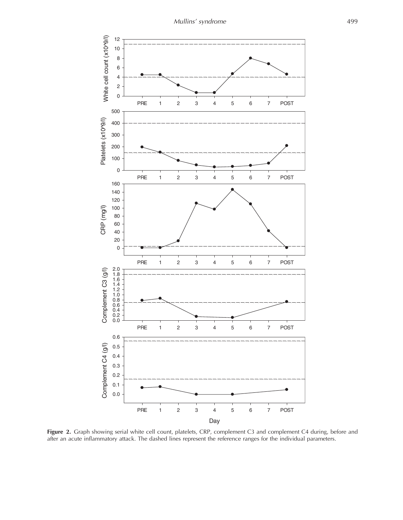<span id="page-2-0"></span>

Figure 2. Graph showing serial white cell count, platelets, CRP, complement C3 and complement C4 during, before and after an acute inflammatory attack. The dashed lines represent the reference ranges for the individual parameters.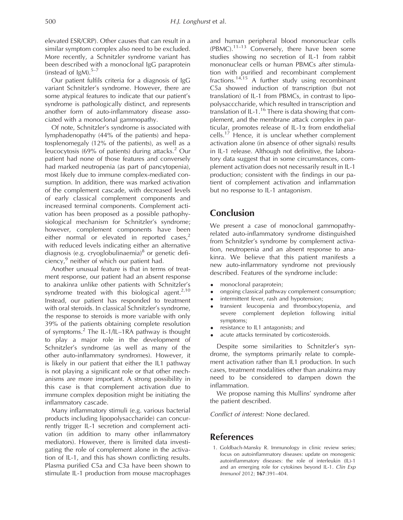<span id="page-3-0"></span>elevated ESR/CRP). Other causes that can result in a similar symptom complex also need to be excluded. More recently, a Schnitzler syndrome variant has been described with a monoclonal IgG paraprotein (instead of  $IgM$ ).<sup>5-7</sup>

Our patient fulfils criteria for a diagnosis of IgG variant Schnitzler's syndrome. However, there are some atypical features to indicate that our patient's syndrome is pathologically distinct, and represents another form of auto-inflammatory disease associated with a monoclonal gammopathy.

Of note, Schnitzler's syndrome is associated with lymphadenopathy (44% of the patients) and hepatosplenomegaly (12% of the patients), as well as a leucocytosis (69% of patients) during attacks.<sup>[2](#page-4-0)</sup> Our patient had none of those features and conversely had marked neutropenia (as part of pancytopenia), most likely due to immune complex-mediated consumption. In addition, there was marked activation of the complement cascade, with decreased levels of early classical complement components and increased terminal components. Complement activation has been proposed as a possible pathophysiological mechanism for Schnitzler's syndrome; however, complement components have been either normal or elevated in reported cases,<sup>2</sup> with reduced levels indicating either an alternative diagnosis (e.g. cryoglobulinaemia) $8$  or genetic deficiency,<sup>9</sup> neither of which our patient had.

Another unusual feature is that in terms of treatment response, our patient had an absent response to anakinra unlike other patients with Schnitzler's syndrome treated with this biological agent. $2,10$ Instead, our patient has responded to treatment with oral steroids. In classical Schnitzler's syndrome, the response to steroids is more variable with only 39% of the patients obtaining complete resolution of symptoms.<sup>[2](#page-4-0)</sup> The IL-1/IL-1RA pathway is thought to play a major role in the development of Schnitzler's syndrome (as well as many of the other auto-inflammatory syndromes). However, it is likely in our patient that either the IL1 pathway is not playing a significant role or that other mechanisms are more important. A strong possibility in this case is that complement activation due to immune complex deposition might be initiating the inflammatory cascade.

Many inflammatory stimuli (e.g. various bacterial products including lipopolysaccharide) can concurrently trigger IL-1 secretion and complement activation (in addition to many other inflammatory mediators). However, there is limited data investigating the role of complement alone in the activation of IL-1, and this has shown conflicting results. Plasma purified C5a and C3a have been shown to stimulate IL-1 production from mouse macrophages and human peripheral blood mononuclear cells  $(PBMC)$ .<sup>[11–13](#page-4-0)</sup> Conversely, there have been some studies showing no secretion of IL-1 from rabbit mononuclear cells or human PBMCs after stimulation with purified and recombinant complement fractions.<sup>[14,15](#page-4-0)</sup> A further study using recombinant C5a showed induction of transcription (but not translation) of IL-1 from PBMCs, in contrast to lipopolysacccharide, which resulted in transcription and translation of IL-1.<sup>[16](#page-4-0)</sup> There is data showing that complement, and the membrane attack complex in particular, promotes release of IL-1a from endothelial cells.[17](#page-4-0) Hence, it is unclear whether complement activation alone (in absence of other signals) results in IL-1 release. Although not definitive, the laboratory data suggest that in some circumstances, complement activation does not necessarily result in IL-1 production; consistent with the findings in our patient of complement activation and inflammation but no response to IL-1 antagonism.

## Conclusion

We present a case of monoclonal gammopathyrelated auto-inflammatory syndrome distinguished from Schnitzler's syndrome by complement activation, neutropenia and an absent response to anakinra. We believe that this patient manifests a new auto-inflammatory syndrome not previously described. Features of the syndrome include:

- monoclonal paraprotein;
- ongoing classical pathway complement consumption;
- intermittent fever, rash and hypotension;
- transient leucopenia and thrombocytopenia, and severe complement depletion following initial symptoms;
- resistance to IL1 antagonists; and
- acute attacks terminated by corticosteroids.

Despite some similarities to Schnitzler's syndrome, the symptoms primarily relate to complement activation rather than IL1 production. In such cases, treatment modalities other than anakinra may need to be considered to dampen down the inflammation.

We propose naming this Mullins' syndrome after the patient described.

Conflict of interest: None declared.

#### References

1. Goldbach-Mansky R. Immunology in clinic review series; focus on autoinflammatory diseases: update on monogenic autoinflammatory diseases: the role of interleukin (IL)-1 and an emerging role for cytokines beyond IL-1. Clin Exp Immunol 2012; 167:391–404.